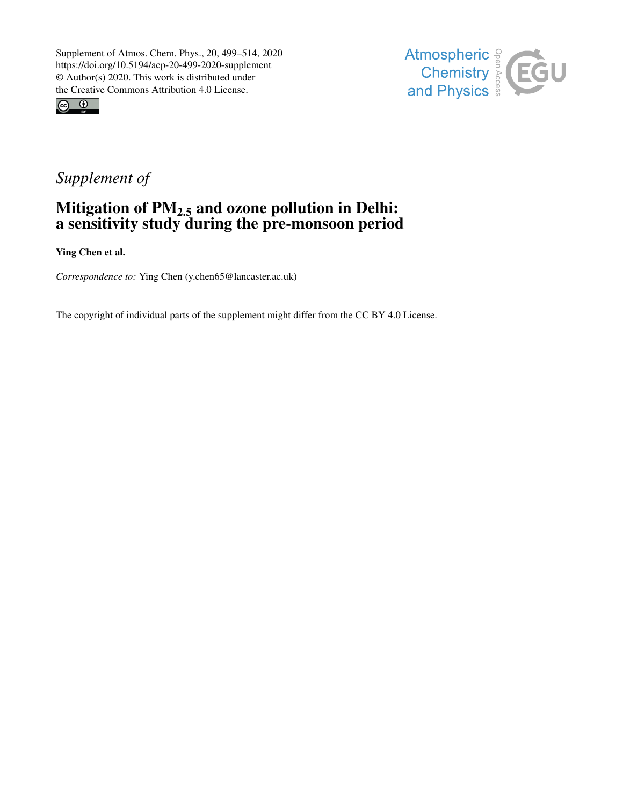



# *Supplement of*

# Mitigation of PM<sub>2.5</sub> and ozone pollution in Delhi: a sensitivity study during the pre-monsoon period

Ying Chen et al.

*Correspondence to:* Ying Chen (y.chen65@lancaster.ac.uk)

The copyright of individual parts of the supplement might differ from the CC BY 4.0 License.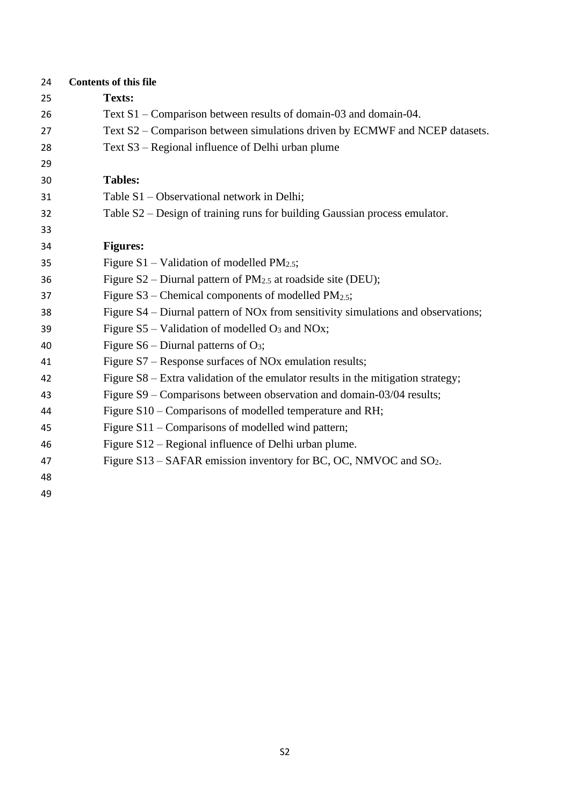| 24 | <b>Contents of this file</b>                                                      |
|----|-----------------------------------------------------------------------------------|
| 25 | <b>Texts:</b>                                                                     |
| 26 | Text $S1$ – Comparison between results of domain-03 and domain-04.                |
| 27 | Text S2 – Comparison between simulations driven by ECMWF and NCEP datasets.       |
| 28 | Text S3 – Regional influence of Delhi urban plume                                 |
| 29 |                                                                                   |
| 30 | <b>Tables:</b>                                                                    |
| 31 | Table S1 – Observational network in Delhi;                                        |
| 32 | Table $S2$ – Design of training runs for building Gaussian process emulator.      |
| 33 |                                                                                   |
| 34 | <b>Figures:</b>                                                                   |
| 35 | Figure S1 – Validation of modelled $PM_{2.5}$ ;                                   |
| 36 | Figure $S2$ – Diurnal pattern of PM <sub>2.5</sub> at roadside site (DEU);        |
| 37 | Figure S3 – Chemical components of modelled $PM_{2.5}$ ;                          |
| 38 | Figure S4 – Diurnal pattern of NOx from sensitivity simulations and observations; |
| 39 | Figure $S5$ – Validation of modelled $O_3$ and NOx;                               |
| 40 | Figure $S6$ – Diurnal patterns of O <sub>3</sub> ;                                |
| 41 | Figure S7 – Response surfaces of NO <sub>x</sub> emulation results;               |
| 42 | Figure S8 – Extra validation of the emulator results in the mitigation strategy;  |
| 43 | Figure S9 – Comparisons between observation and domain-03/04 results;             |
| 44 | Figure S10 – Comparisons of modelled temperature and RH;                          |
| 45 | Figure S11 – Comparisons of modelled wind pattern;                                |
| 46 | Figure S12 – Regional influence of Delhi urban plume.                             |
| 47 | Figure S13 – SAFAR emission inventory for BC, OC, NMVOC and SO <sub>2</sub> .     |
| 48 |                                                                                   |
| 49 |                                                                                   |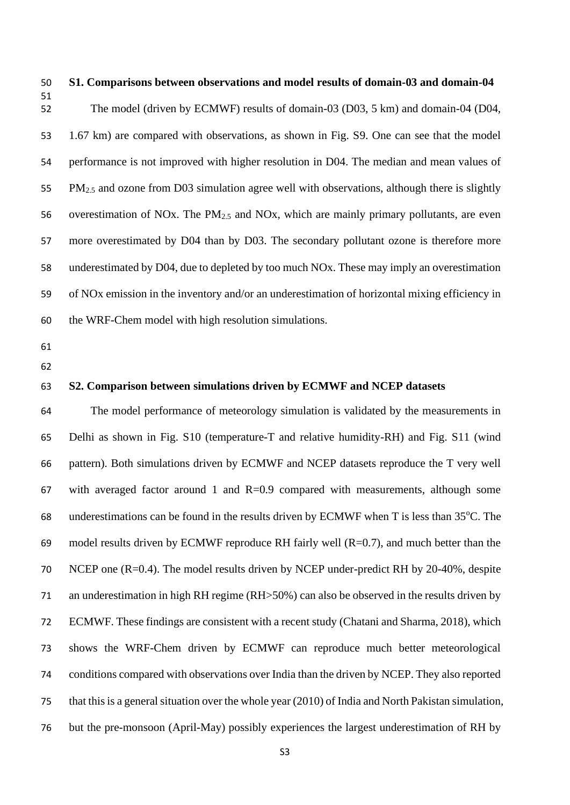### **S1. Comparisons between observations and model results of domain-03 and domain-04**

 The model (driven by ECMWF) results of domain-03 (D03, 5 km) and domain-04 (D04, 1.67 km) are compared with observations, as shown in Fig. S9. One can see that the model performance is not improved with higher resolution in D04. The median and mean values of PM<sub>2.5</sub> and ozone from D03 simulation agree well with observations, although there is slightly overestimation of NOx. The PM2.5 and NOx, which are mainly primary pollutants, are even more overestimated by D04 than by D03. The secondary pollutant ozone is therefore more underestimated by D04, due to depleted by too much NOx. These may imply an overestimation of NOx emission in the inventory and/or an underestimation of horizontal mixing efficiency in the WRF-Chem model with high resolution simulations.

- 
- 

#### **S2. Comparison between simulations driven by ECMWF and NCEP datasets**

 The model performance of meteorology simulation is validated by the measurements in Delhi as shown in Fig. S10 (temperature-T and relative humidity-RH) and Fig. S11 (wind pattern). Both simulations driven by ECMWF and NCEP datasets reproduce the T very well 67 with averaged factor around 1 and  $R=0.9$  compared with measurements, although some 68 underestimations can be found in the results driven by ECMWF when T is less than  $35^{\circ}$ C. The 69 model results driven by ECMWF reproduce RH fairly well  $(R=0.7)$ , and much better than the NCEP one (R=0.4). The model results driven by NCEP under-predict RH by 20-40%, despite an underestimation in high RH regime (RH>50%) can also be observed in the results driven by ECMWF. These findings are consistent with a recent study [\(Chatani and Sharma, 2018\)](#page-13-0), which shows the WRF-Chem driven by ECMWF can reproduce much better meteorological conditions compared with observations over India than the driven by NCEP. They also reported that this is a general situation over the whole year (2010) of India and North Pakistan simulation, but the pre-monsoon (April-May) possibly experiences the largest underestimation of RH by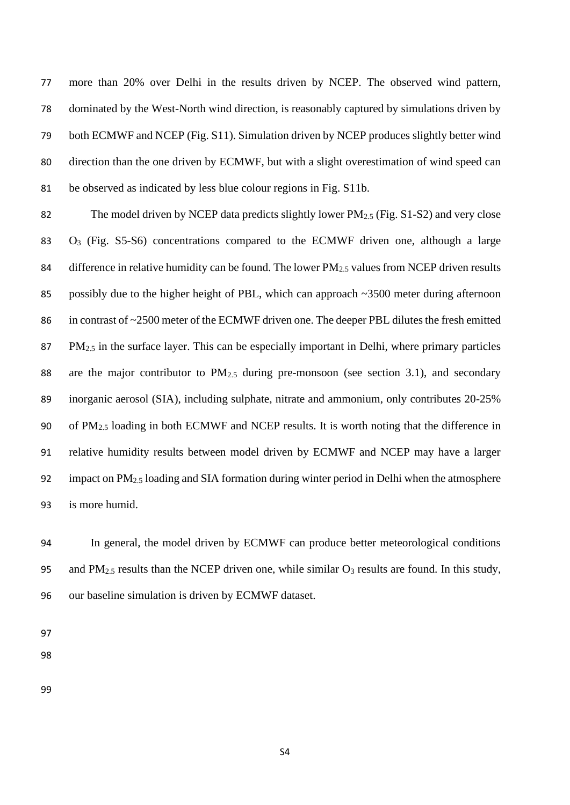more than 20% over Delhi in the results driven by NCEP. The observed wind pattern, dominated by the West-North wind direction, is reasonably captured by simulations driven by both ECMWF and NCEP (Fig. S11). Simulation driven by NCEP produces slightly better wind direction than the one driven by ECMWF, but with a slight overestimation of wind speed can be observed as indicated by less blue colour regions in Fig. S11b.

82 The model driven by NCEP data predicts slightly lower  $PM_{2.5}$  (Fig. S1-S2) and very close O<sup>3</sup> (Fig. S5-S6) concentrations compared to the ECMWF driven one, although a large 84 difference in relative humidity can be found. The lower  $PM_{2.5}$  values from NCEP driven results 85 possibly due to the higher height of PBL, which can approach ~3500 meter during afternoon in contrast of ~2500 meter of the ECMWF driven one. The deeper PBL dilutes the fresh emitted 87 PM $_{2.5}$  in the surface layer. This can be especially important in Delhi, where primary particles 88 are the major contributor to  $PM_{2,5}$  during pre-monsoon (see section 3.1), and secondary inorganic aerosol (SIA), including sulphate, nitrate and ammonium, only contributes 20-25% 90 of PM<sub>2.5</sub> loading in both ECMWF and NCEP results. It is worth noting that the difference in relative humidity results between model driven by ECMWF and NCEP may have a larger 92 impact on PM<sub>2.5</sub> loading and SIA formation during winter period in Delhi when the atmosphere is more humid.

 In general, the model driven by ECMWF can produce better meteorological conditions 95 and  $PM_{2.5}$  results than the NCEP driven one, while similar  $O_3$  results are found. In this study, our baseline simulation is driven by ECMWF dataset.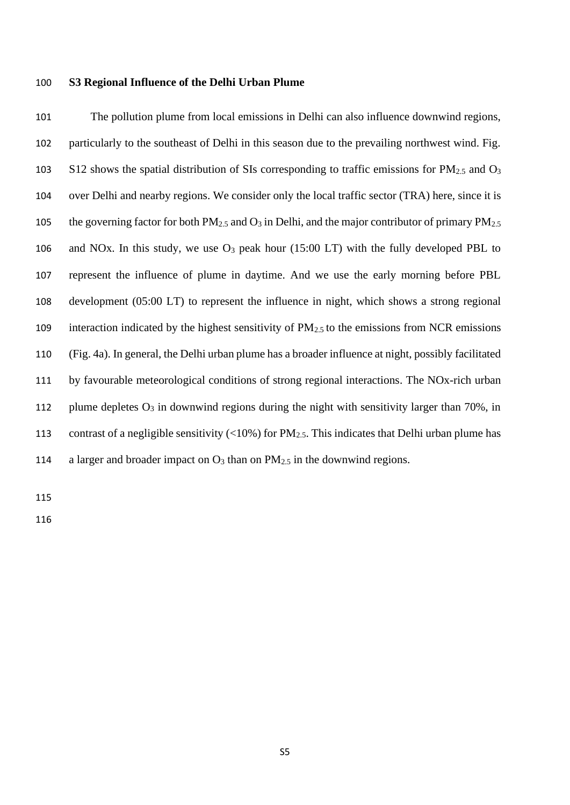#### **S3 Regional Influence of the Delhi Urban Plume**

 The pollution plume from local emissions in Delhi can also influence downwind regions, particularly to the southeast of Delhi in this season due to the prevailing northwest wind. Fig. S12 shows the spatial distribution of SIs corresponding to traffic emissions for PM2.5 and O<sup>3</sup> over Delhi and nearby regions. We consider only the local traffic sector (TRA) here, since it is 105 the governing factor for both  $PM_{2.5}$  and  $O_3$  in Delhi, and the major contributor of primary  $PM_{2.5}$ 106 and NOx. In this study, we use  $O_3$  peak hour (15:00 LT) with the fully developed PBL to represent the influence of plume in daytime. And we use the early morning before PBL development (05:00 LT) to represent the influence in night, which shows a strong regional 109 interaction indicated by the highest sensitivity of PM<sub>2.5</sub> to the emissions from NCR emissions (Fig. 4a). In general, the Delhi urban plume has a broader influence at night, possibly facilitated by favourable meteorological conditions of strong regional interactions. The NOx-rich urban 112 plume depletes  $O_3$  in downwind regions during the night with sensitivity larger than 70%, in 113 contrast of a negligible sensitivity (<10%) for  $PM_{2.5}$ . This indicates that Delhi urban plume has 114 a larger and broader impact on  $O_3$  than on  $PM_{2.5}$  in the downwind regions.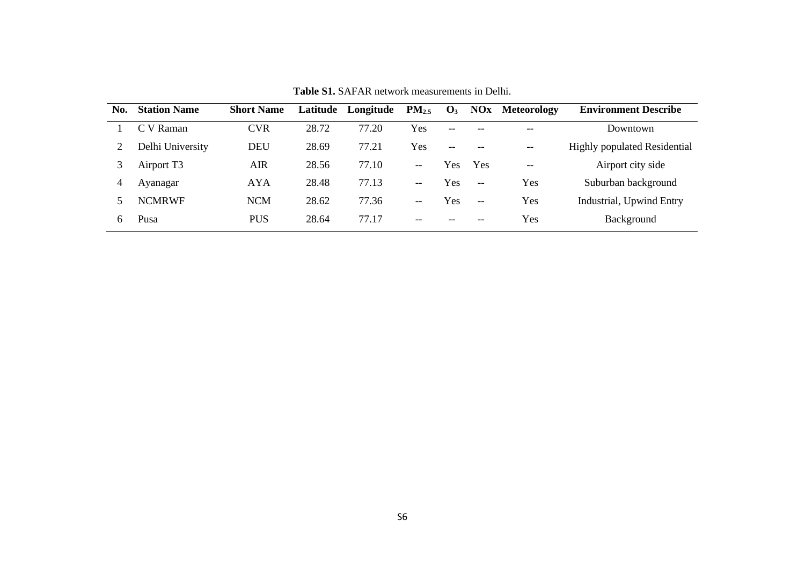| No. | <b>Station Name</b>    | <b>Short Name</b> | Latitude | Longitude | $PM_{2.5}$ | $\mathbf{O}_3$ | NOx                      | Meteorology                           | <b>Environment Describe</b>  |
|-----|------------------------|-------------------|----------|-----------|------------|----------------|--------------------------|---------------------------------------|------------------------------|
|     | C V Raman              | <b>CVR</b>        | 28.72    | 77.20     | Yes        | --             | --                       | $- -$                                 | Downtown                     |
|     | Delhi University       | <b>DEU</b>        | 28.69    | 77.21     | Yes        | $- -$          | --                       | $- -$                                 | Highly populated Residential |
|     | Airport T <sub>3</sub> | <b>AIR</b>        | 28.56    | 77.10     | --         | Yes.           | <b>Yes</b>               | $\hspace{0.05cm}$ – $\hspace{0.05cm}$ | Airport city side            |
| 4   | Ayanagar               | <b>AYA</b>        | 28.48    | 77.13     | --         | Yes            | $--$                     | Yes                                   | Suburban background          |
|     | <b>NCMRWF</b>          | <b>NCM</b>        | 28.62    | 77.36     | --         | Yes            | $\overline{\phantom{m}}$ | Yes                                   | Industrial, Upwind Entry     |
| h   | Pusa                   | <b>PUS</b>        | 28.64    | 77.17     | --         |                | --                       | Yes                                   | Background                   |

**Table S1.** SAFAR network measurements in Delhi.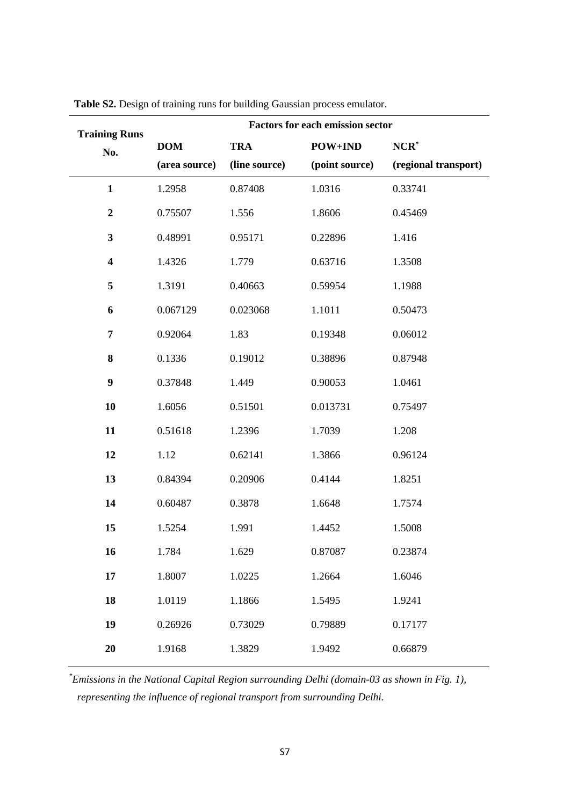| <b>Training Runs</b>    | <b>Factors for each emission sector</b> |               |                |                      |  |  |  |  |  |
|-------------------------|-----------------------------------------|---------------|----------------|----------------------|--|--|--|--|--|
| No.                     | <b>DOM</b>                              | <b>TRA</b>    | POW+IND        | $NCR^*$              |  |  |  |  |  |
|                         | (area source)                           | (line source) | (point source) | (regional transport) |  |  |  |  |  |
| $\mathbf{1}$            | 1.2958                                  | 0.87408       | 1.0316         | 0.33741              |  |  |  |  |  |
| $\boldsymbol{2}$        | 0.75507                                 | 1.556         | 1.8606         | 0.45469              |  |  |  |  |  |
| $\mathbf{3}$            | 0.48991                                 | 0.95171       | 0.22896        | 1.416                |  |  |  |  |  |
| $\overline{\mathbf{4}}$ | 1.4326                                  | 1.779         | 0.63716        | 1.3508               |  |  |  |  |  |
| 5                       | 1.3191                                  | 0.40663       | 0.59954        | 1.1988               |  |  |  |  |  |
| 6                       | 0.067129                                | 0.023068      | 1.1011         | 0.50473              |  |  |  |  |  |
| 7                       | 0.92064                                 | 1.83          | 0.19348        | 0.06012              |  |  |  |  |  |
| 8                       | 0.1336<br>0.19012                       |               | 0.38896        | 0.87948              |  |  |  |  |  |
| $\boldsymbol{9}$        | 0.37848                                 | 1.449         | 0.90053        | 1.0461               |  |  |  |  |  |
| 10                      | 1.6056                                  | 0.51501       | 0.013731       | 0.75497              |  |  |  |  |  |
| 11                      | 0.51618                                 | 1.2396        | 1.7039         | 1.208                |  |  |  |  |  |
| 12                      | 1.12                                    | 0.62141       | 1.3866         | 0.96124              |  |  |  |  |  |
| 13                      | 0.84394                                 | 0.20906       | 0.4144         | 1.8251               |  |  |  |  |  |
| 14                      | 0.60487                                 | 0.3878        | 1.6648         | 1.7574               |  |  |  |  |  |
| 15                      | 1.5254                                  | 1.991         | 1.4452         | 1.5008               |  |  |  |  |  |
| 16                      | 1.784                                   | 1.629         | 0.87087        | 0.23874              |  |  |  |  |  |
| 17                      | 1.8007                                  | 1.0225        | 1.2664         | 1.6046               |  |  |  |  |  |
| 18                      | 1.0119                                  | 1.1866        | 1.5495         | 1.9241               |  |  |  |  |  |
| 19                      | 0.26926                                 | 0.73029       | 0.79889        | 0.17177              |  |  |  |  |  |
| 20                      | 1.9168                                  | 1.3829        | 1.9492         | 0.66879              |  |  |  |  |  |

**Table S2.** Design of training runs for building Gaussian process emulator.

*\*Emissions in the National Capital Region surrounding Delhi (domain-03 as shown in Fig. 1), representing the influence of regional transport from surrounding Delhi.*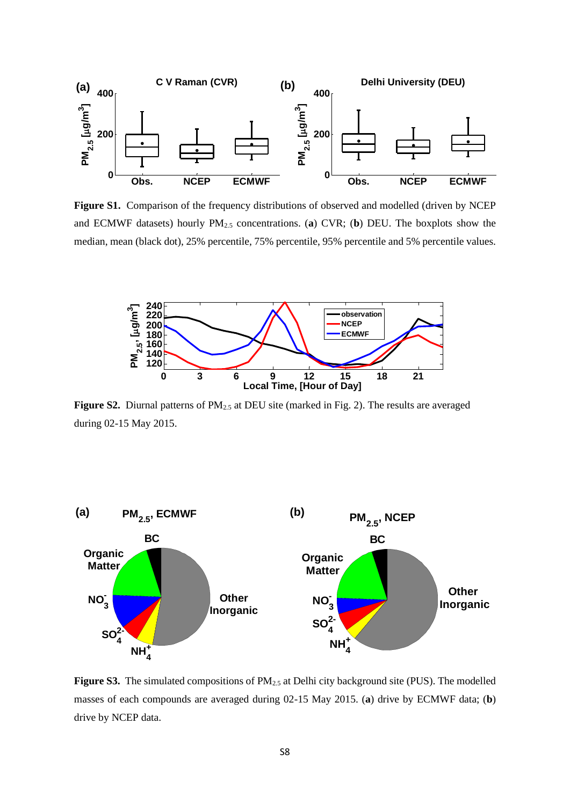

Figure S1. Comparison of the frequency distributions of observed and modelled (driven by NCEP and ECMWF datasets) hourly PM2.5 concentrations. (**a**) CVR; (**b**) DEU. The boxplots show the median, mean (black dot), 25% percentile, 75% percentile, 95% percentile and 5% percentile values.



**Figure S2.** Diurnal patterns of PM<sub>2.5</sub> at DEU site (marked in Fig. 2). The results are averaged during 02-15 May 2015. **3000 2000** Did In Fact Times,  $\frac{1}{2}$ ,  $\frac{1}{2}$ ,  $\frac{1}{2}$ ,  $\frac{1}{2}$ ,  $\frac{1}{2}$ ,  $\frac{1}{2}$ ,  $\frac{1}{2}$ ,  $\frac{1}{2}$ ,  $\frac{1}{2}$ ,  $\frac{1}{2}$ ,  $\frac{1}{2}$ ,  $\frac{1}{2}$ ,  $\frac{1}{2}$ ,  $\frac{1}{2}$ ,  $\frac{1}{2}$ ,  $\frac{1}{2}$ ,  $\frac{1}{2}$ ,  $\frac{1}{2}$ ,  $\frac{$ **-**



**Figure S3.** The simulated compositions of PM<sub>2.5</sub> at Delhi city background site (PUS). The modelled masses of each compounds are averaged during 02-15 May 2015. (**a**) drive by ECMWF data; (**b**) drive by NCEP data. **BC**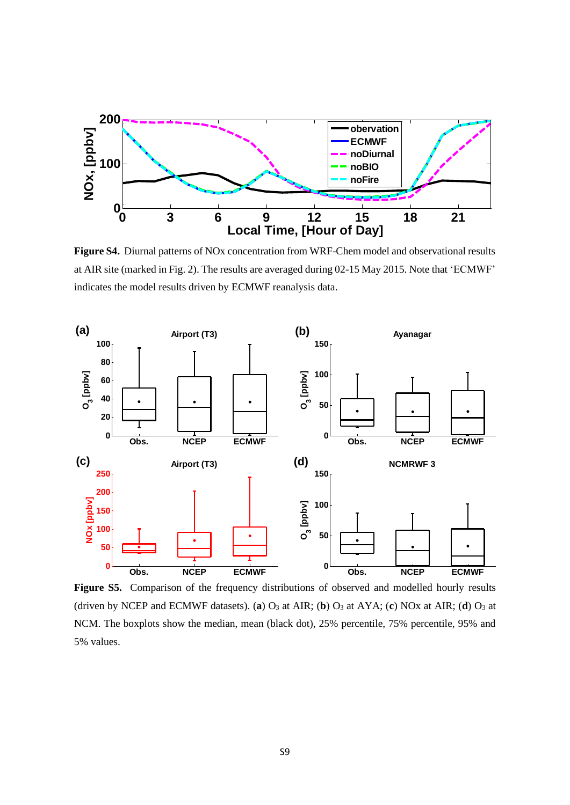

**Figure S4.** Diurnal patterns of NOx concentration from WRF-Chem model and observational results at AIR site (marked in Fig. 2). The results are averaged during 02-15 May 2015. Note that 'ECMWF' **60** indicates the model results driven by ECMWF reanalysis data. **40 EXECUTE:** AIR site (marked in Fig. 2) licates the model results d **noBIO el** result



Figure S5. Comparison of the frequency distributions of observed and modelled hourly results (driven by NCEP and ECMWF datasets). (**a**)  $O_3$  at AIR; (**b**)  $O_3$  at AYA; (**c**) NOx at AIR; (**d**)  $O_3$  at NCM. The boxplots show the median, mean (black dot), 25% percentile, 75% percentile, 95% and 5% values.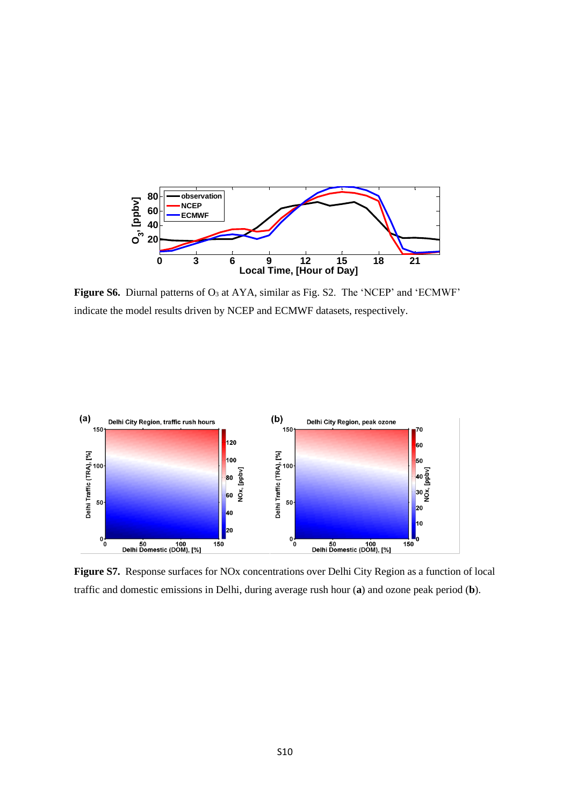

**Figure S6.** Diurnal patterns of  $O_3$  at AYA, similar as Fig. S2. The 'NCEP' and 'ECMWF' indicate the model results driven by NCEP and ECMWF datasets, respectively. **100** Diurnal patterns of  $O_3$  at AYA, similar as Fig. S2. The nodel results driven by NCEP and ECMWF datasets, re



**Figure S7.** Response surfaces for NOx concentrations over Delhi City Region as a function of local traffic and domestic emissions in Delhi, during average rush hour (**a**) and ozone peak period (**b**).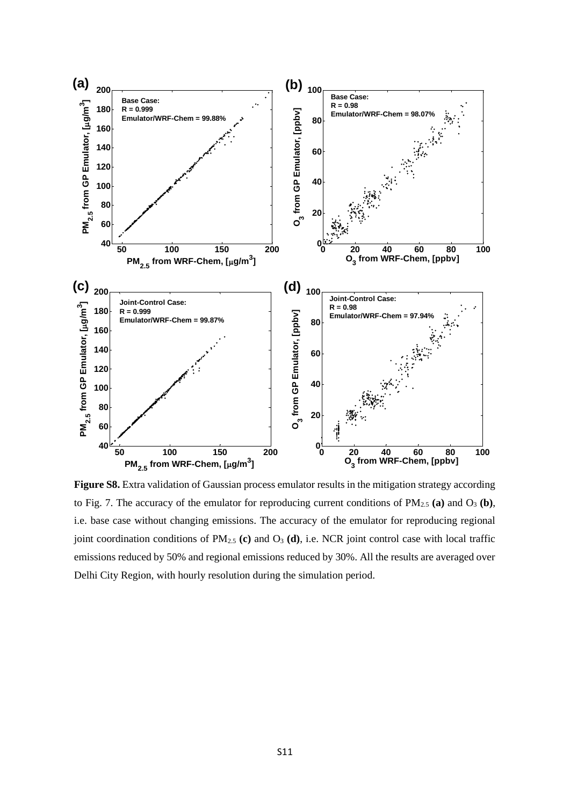

**Figure S8.** Extra validation of Gaussian process emulator results in the mitigation strategy according to Fig. 7. The accuracy of the emulator for reproducing current conditions of  $PM_{2.5}$  (a) and  $O_3$  (b), i.e. base case without changing emissions. The accuracy of the emulator for reproducing regional joint coordination conditions of PM<sub>2.5</sub> (c) and O<sub>3</sub> (d), i.e. NCR joint control case with local traffic emissions reduced by 50% and regional emissions reduced by 30%. All the results are averaged over Delhi City Region, with hourly resolution during the simulation period.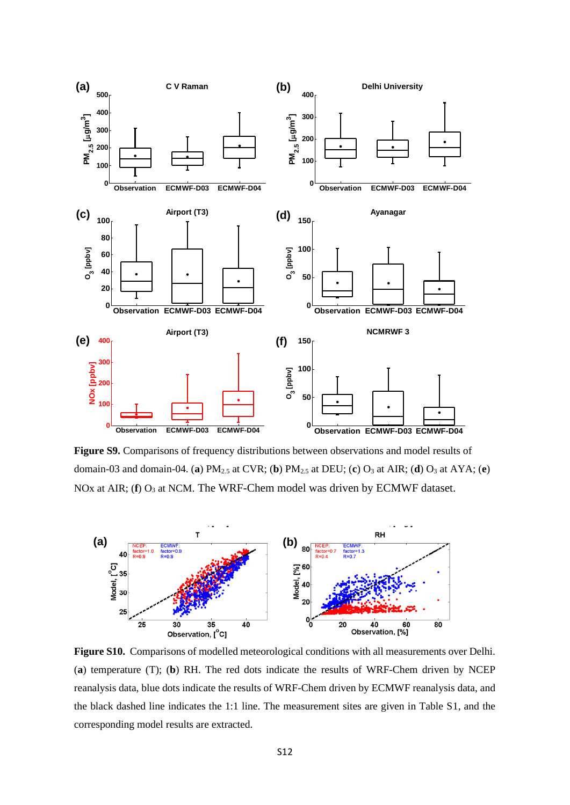

**Figure S9.** Comparisons of frequency distributions between observations and model results of domain-03 and domain-04. (**a**) PM<sub>2.5</sub> at CVR; (**b**) PM<sub>2.5</sub> at DEU; (**c**) O<sub>3</sub> at AIR; (**d**) O<sub>3</sub> at AYA; (**e**) NOx at AIR; (**f**) O<sub>3</sub> at NCM. The WRF-Chem model was driven by ECMWF dataset.



**Figure S10.** Comparisons of modelled meteorological conditions with all measurements over Delhi. (**a**) temperature (T); (**b**) RH. The red dots indicate the results of WRF-Chem driven by NCEP reanalysis data, blue dots indicate the results of WRF-Chem driven by ECMWF reanalysis data, and the black dashed line indicates the 1:1 line. The measurement sites are given in Table S1, and the corresponding model results are extracted.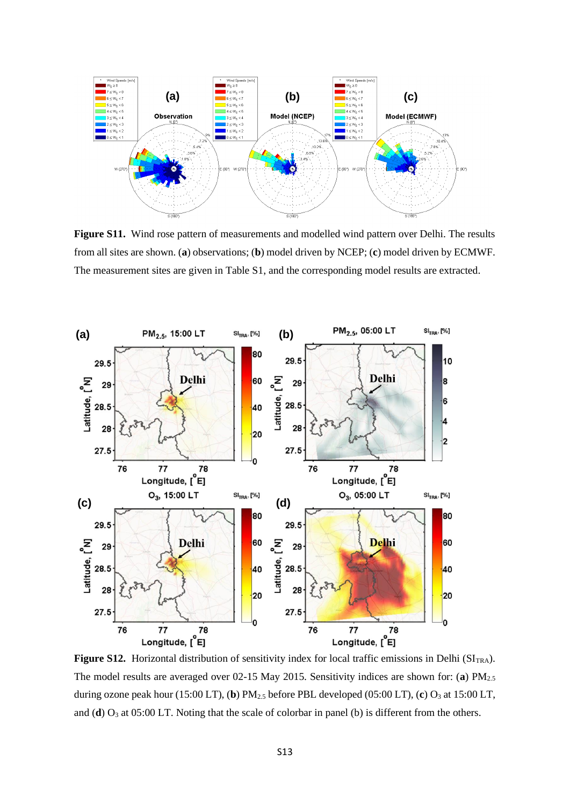

**Figure S11.** Wind rose pattern of measurements and modelled wind pattern over Delhi. The results from all sites are shown. (**a**) observations; (**b**) model driven by NCEP; (**c**) model driven by ECMWF. The measurement sites are given in Table S1, and the corresponding model results are extracted.



**Figure S12.** Horizontal distribution of sensitivity index for local traffic emissions in Delhi ( $SI<sub>TRA</sub>$ ). The model results are averaged over 02-15 May 2015. Sensitivity indices are shown for: (**a**) PM2.5 during ozone peak hour (15:00 LT), (**b**) PM<sub>2.5</sub> before PBL developed (05:00 LT), (**c**) O<sub>3</sub> at 15:00 LT, and (**d**)  $O_3$  at 05:00 LT. Noting that the scale of colorbar in panel (b) is different from the others.